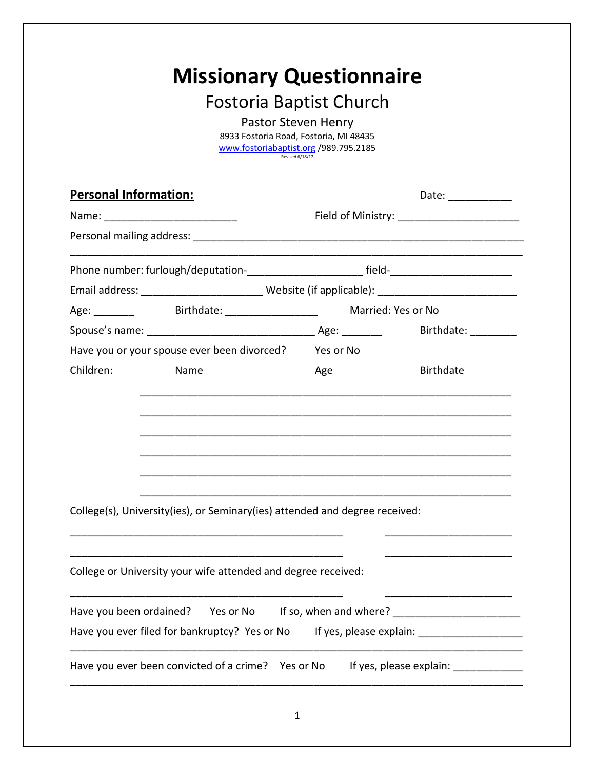## **Missionary Questionnaire**

## Fostoria Baptist Church

Pastor Steven Henry 8933 Fostoria Road, Fostoria, MI 48435 [www.fostoriabaptist.org](http://www.fostoriabaptist.org/) /989.795.2185 Revised 6/18/12

|                                                                                                      |                                                                             | Date: ____________ |                     |
|------------------------------------------------------------------------------------------------------|-----------------------------------------------------------------------------|--------------------|---------------------|
|                                                                                                      |                                                                             |                    |                     |
|                                                                                                      |                                                                             |                    |                     |
|                                                                                                      |                                                                             |                    |                     |
| Email address: ________________________________Website (if applicable): ____________________________ |                                                                             |                    |                     |
|                                                                                                      | Age: __________ Birthdate: __________________                               |                    | Married: Yes or No  |
|                                                                                                      |                                                                             |                    | Birthdate: ________ |
| Have you or your spouse ever been divorced?                                                          |                                                                             | Yes or No          |                     |
| Children:                                                                                            | Name                                                                        | Age                | <b>Birthdate</b>    |
|                                                                                                      |                                                                             |                    |                     |
|                                                                                                      | College(s), University(ies), or Seminary(ies) attended and degree received: |                    |                     |
|                                                                                                      |                                                                             |                    |                     |
|                                                                                                      | College or University your wife attended and degree received:               |                    |                     |
| Have you been ordained?                                                                              | Yes or No If so, when and where?                                            |                    |                     |
|                                                                                                      | Have you ever filed for bankruptcy? Yes or No                               |                    |                     |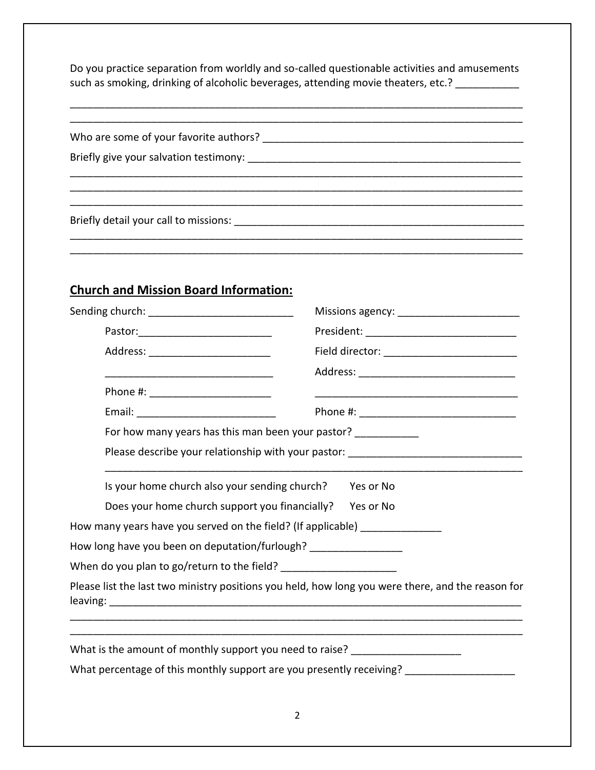Do you practice separation from worldly and so-called questionable activities and amusements such as smoking, drinking of alcoholic beverages, attending movie theaters, etc.? \_\_\_\_\_\_\_\_\_\_\_

\_\_\_\_\_\_\_\_\_\_\_\_\_\_\_\_\_\_\_\_\_\_\_\_\_\_\_\_\_\_\_\_\_\_\_\_\_\_\_\_\_\_\_\_\_\_\_\_\_\_\_\_\_\_\_\_\_\_\_\_\_\_\_\_\_\_\_\_\_\_\_\_\_\_\_\_\_\_ \_\_\_\_\_\_\_\_\_\_\_\_\_\_\_\_\_\_\_\_\_\_\_\_\_\_\_\_\_\_\_\_\_\_\_\_\_\_\_\_\_\_\_\_\_\_\_\_\_\_\_\_\_\_\_\_\_\_\_\_\_\_\_\_\_\_\_\_\_\_\_\_\_\_\_\_\_\_

\_\_\_\_\_\_\_\_\_\_\_\_\_\_\_\_\_\_\_\_\_\_\_\_\_\_\_\_\_\_\_\_\_\_\_\_\_\_\_\_\_\_\_\_\_\_\_\_\_\_\_\_\_\_\_\_\_\_\_\_\_\_\_\_\_\_\_\_\_\_\_\_\_\_\_\_\_\_ \_\_\_\_\_\_\_\_\_\_\_\_\_\_\_\_\_\_\_\_\_\_\_\_\_\_\_\_\_\_\_\_\_\_\_\_\_\_\_\_\_\_\_\_\_\_\_\_\_\_\_\_\_\_\_\_\_\_\_\_\_\_\_\_\_\_\_\_\_\_\_\_\_\_\_\_\_\_

\_\_\_\_\_\_\_\_\_\_\_\_\_\_\_\_\_\_\_\_\_\_\_\_\_\_\_\_\_\_\_\_\_\_\_\_\_\_\_\_\_\_\_\_\_\_\_\_\_\_\_\_\_\_\_\_\_\_\_\_\_\_\_\_\_\_\_\_\_\_\_\_\_\_\_\_\_\_

Who are some of your favorite authors? \_\_\_\_\_\_\_\_\_\_\_\_\_\_\_\_\_\_\_\_\_\_\_\_\_\_\_\_\_\_\_\_\_\_\_\_\_\_\_\_\_\_\_\_\_

Briefly give your salvation testimony: \_\_\_\_\_\_\_\_\_\_\_\_\_\_\_\_\_\_\_\_\_\_\_\_\_\_\_\_\_\_\_\_\_\_\_\_\_\_\_\_\_\_\_\_\_\_\_

Briefly detail your call to missions: **Example 20** and the mass of the state of the state of the state of the state of the state of the state of the state of the state of the state of the state of the state of the state of

## **Church and Mission Board Information:**

| Sending church: ___________________________                                 |                                                                                                   |  |
|-----------------------------------------------------------------------------|---------------------------------------------------------------------------------------------------|--|
|                                                                             |                                                                                                   |  |
| Address: ___________________________                                        | Field director: ______________________________                                                    |  |
|                                                                             |                                                                                                   |  |
| Phone #: _________________________                                          |                                                                                                   |  |
|                                                                             |                                                                                                   |  |
| For how many years has this man been your pastor? ___________               |                                                                                                   |  |
|                                                                             | Please describe your relationship with your pastor: _____________________________                 |  |
| Is your home church also your sending church?                               | Yes or No                                                                                         |  |
| Does your home church support you financially? Yes or No                    |                                                                                                   |  |
| How many years have you served on the field? (If applicable) ______________ |                                                                                                   |  |
| How long have you been on deputation/furlough? _________________            |                                                                                                   |  |
| When do you plan to go/return to the field? ________________________        |                                                                                                   |  |
|                                                                             | Please list the last two ministry positions you held, how long you were there, and the reason for |  |
| What is the amount of monthly support you need to raise?                    |                                                                                                   |  |
|                                                                             | What percentage of this monthly support are you presently receiving? __________________           |  |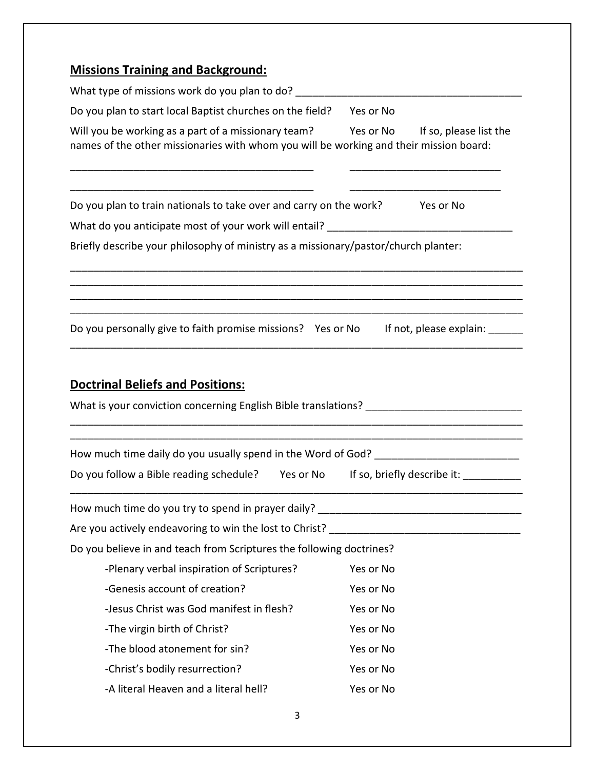| <b>Missions Training and Background:</b>                                                                                                                                       |                             |  |
|--------------------------------------------------------------------------------------------------------------------------------------------------------------------------------|-----------------------------|--|
|                                                                                                                                                                                |                             |  |
| Do you plan to start local Baptist churches on the field?                                                                                                                      | Yes or No                   |  |
| Will you be working as a part of a missionary team? Yes or No If so, please list the<br>names of the other missionaries with whom you will be working and their mission board: |                             |  |
| Do you plan to train nationals to take over and carry on the work? Yes or No                                                                                                   |                             |  |
|                                                                                                                                                                                |                             |  |
| Briefly describe your philosophy of ministry as a missionary/pastor/church planter:                                                                                            |                             |  |
|                                                                                                                                                                                |                             |  |
| Do you personally give to faith promise missions? Yes or No If not, please explain:                                                                                            |                             |  |
|                                                                                                                                                                                |                             |  |
| <b>Doctrinal Beliefs and Positions:</b>                                                                                                                                        |                             |  |
|                                                                                                                                                                                |                             |  |
| Do you follow a Bible reading schedule? Yes or No                                                                                                                              | If so, briefly describe it: |  |
| How much time do you try to spend in prayer daily? ______________________________                                                                                              |                             |  |
| Are you actively endeavoring to win the lost to Christ?                                                                                                                        |                             |  |
|                                                                                                                                                                                |                             |  |
| Do you believe in and teach from Scriptures the following doctrines?                                                                                                           |                             |  |
| -Plenary verbal inspiration of Scriptures?                                                                                                                                     | Yes or No                   |  |
| -Genesis account of creation?                                                                                                                                                  | Yes or No                   |  |
| -Jesus Christ was God manifest in flesh?                                                                                                                                       | Yes or No                   |  |
| -The virgin birth of Christ?                                                                                                                                                   | Yes or No                   |  |
| -The blood atonement for sin?                                                                                                                                                  | Yes or No                   |  |
| -Christ's bodily resurrection?                                                                                                                                                 | Yes or No                   |  |
| -A literal Heaven and a literal hell?                                                                                                                                          | Yes or No                   |  |